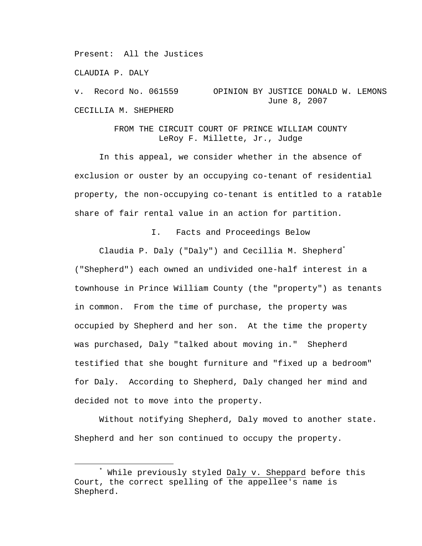Present: All the Justices

CLAUDIA P. DALY

v. Record No. 061559 OPINION BY JUSTICE DONALD W. LEMONS June 8, 2007 CECILLIA M. SHEPHERD

> FROM THE CIRCUIT COURT OF PRINCE WILLIAM COUNTY LeRoy F. Millette, Jr., Judge

 In this appeal, we consider whether in the absence of exclusion or ouster by an occupying co-tenant of residential property, the non-occupying co-tenant is entitled to a ratable share of fair rental value in an action for partition.

I. Facts and Proceedings Below

 Claudia P. Daly ("Daly") and Cecillia M. Shepherd\* ("Shepherd") each owned an undivided one-half interest in a townhouse in Prince William County (the "property") as tenants in common. From the time of purchase, the property was occupied by Shepherd and her son. At the time the property was purchased, Daly "talked about moving in." Shepherd testified that she bought furniture and "fixed up a bedroom" for Daly. According to Shepherd, Daly changed her mind and decided not to move into the property.

 Without notifying Shepherd, Daly moved to another state. Shepherd and her son continued to occupy the property.

 $\overline{\phantom{a}}$ \* While previously styled Daly v. Sheppard before this Court, the correct spelling of the appellee's name is Shepherd.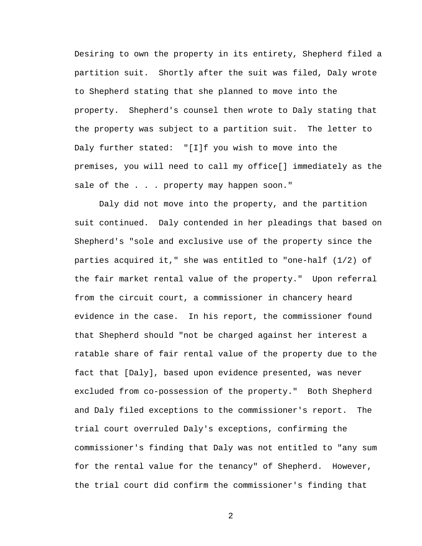Desiring to own the property in its entirety, Shepherd filed a partition suit. Shortly after the suit was filed, Daly wrote to Shepherd stating that she planned to move into the property. Shepherd's counsel then wrote to Daly stating that the property was subject to a partition suit. The letter to Daly further stated: "[I]f you wish to move into the premises, you will need to call my office[] immediately as the sale of the . . . property may happen soon."

 Daly did not move into the property, and the partition suit continued. Daly contended in her pleadings that based on Shepherd's "sole and exclusive use of the property since the parties acquired it," she was entitled to "one-half (1/2) of the fair market rental value of the property." Upon referral from the circuit court, a commissioner in chancery heard evidence in the case. In his report, the commissioner found that Shepherd should "not be charged against her interest a ratable share of fair rental value of the property due to the fact that [Daly], based upon evidence presented, was never excluded from co-possession of the property." Both Shepherd and Daly filed exceptions to the commissioner's report. The trial court overruled Daly's exceptions, confirming the commissioner's finding that Daly was not entitled to "any sum for the rental value for the tenancy" of Shepherd. However, the trial court did confirm the commissioner's finding that

2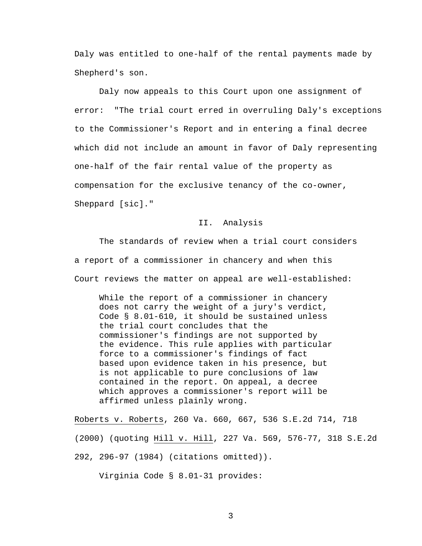Daly was entitled to one-half of the rental payments made by Shepherd's son.

 Daly now appeals to this Court upon one assignment of error: "The trial court erred in overruling Daly's exceptions to the Commissioner's Report and in entering a final decree which did not include an amount in favor of Daly representing one-half of the fair rental value of the property as compensation for the exclusive tenancy of the co-owner, Sheppard [sic]."

## II. Analysis

The standards of review when a trial court considers a report of a commissioner in chancery and when this Court reviews the matter on appeal are well-established:

While the report of a commissioner in chancery does not carry the weight of a jury's verdict, Code § 8.01-610, it should be sustained unless the trial court concludes that the commissioner's findings are not supported by the evidence. This rule applies with particular force to a commissioner's findings of fact based upon evidence taken in his presence, but is not applicable to pure conclusions of law contained in the report. On appeal, a decree which approves a commissioner's report will be affirmed unless plainly wrong.

Roberts v. Roberts, 260 Va. 660, 667, 536 S.E.2d 714, 718 (2000) (quoting Hill v. Hill, 227 Va. 569, 576-77, 318 S.E.2d 292, 296-97 (1984) (citations omitted)).

Virginia Code § 8.01-31 provides: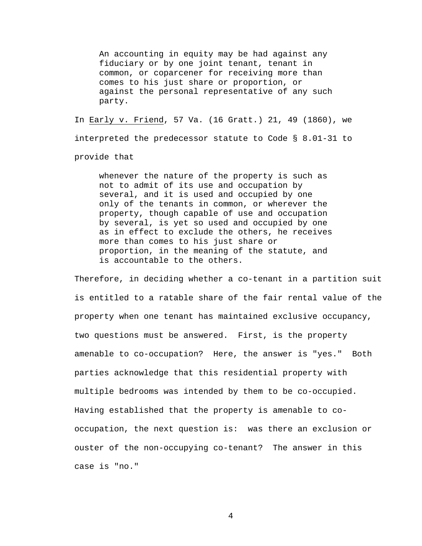An accounting in equity may be had against any fiduciary or by one joint tenant, tenant in common, or coparcener for receiving more than comes to his just share or proportion, or against the personal representative of any such party.

In Early v. Friend, 57 Va. (16 Gratt.) 21, 49 (1860), we interpreted the predecessor statute to Code § 8.01-31 to provide that

whenever the nature of the property is such as not to admit of its use and occupation by several, and it is used and occupied by one only of the tenants in common, or wherever the property, though capable of use and occupation by several, is yet so used and occupied by one as in effect to exclude the others, he receives more than comes to his just share or proportion, in the meaning of the statute, and is accountable to the others.

Therefore, in deciding whether a co-tenant in a partition suit is entitled to a ratable share of the fair rental value of the property when one tenant has maintained exclusive occupancy, two questions must be answered. First, is the property amenable to co-occupation? Here, the answer is "yes." Both parties acknowledge that this residential property with multiple bedrooms was intended by them to be co-occupied. Having established that the property is amenable to cooccupation, the next question is: was there an exclusion or ouster of the non-occupying co-tenant? The answer in this case is "no."

4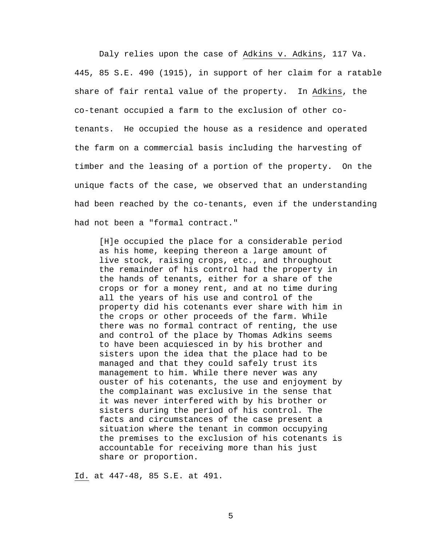Daly relies upon the case of Adkins v. Adkins, 117 Va. 445, 85 S.E. 490 (1915), in support of her claim for a ratable share of fair rental value of the property. In Adkins, the co-tenant occupied a farm to the exclusion of other cotenants. He occupied the house as a residence and operated the farm on a commercial basis including the harvesting of timber and the leasing of a portion of the property. On the unique facts of the case, we observed that an understanding had been reached by the co-tenants, even if the understanding had not been a "formal contract."

[H]e occupied the place for a considerable period as his home, keeping thereon a large amount of live stock, raising crops, etc., and throughout the remainder of his control had the property in the hands of tenants, either for a share of the crops or for a money rent, and at no time during all the years of his use and control of the property did his cotenants ever share with him in the crops or other proceeds of the farm. While there was no formal contract of renting, the use and control of the place by Thomas Adkins seems to have been acquiesced in by his brother and sisters upon the idea that the place had to be managed and that they could safely trust its management to him. While there never was any ouster of his cotenants, the use and enjoyment by the complainant was exclusive in the sense that it was never interfered with by his brother or sisters during the period of his control. The facts and circumstances of the case present a situation where the tenant in common occupying the premises to the exclusion of his cotenants is accountable for receiving more than his just share or proportion.

Id. at 447-48, 85 S.E. at 491.